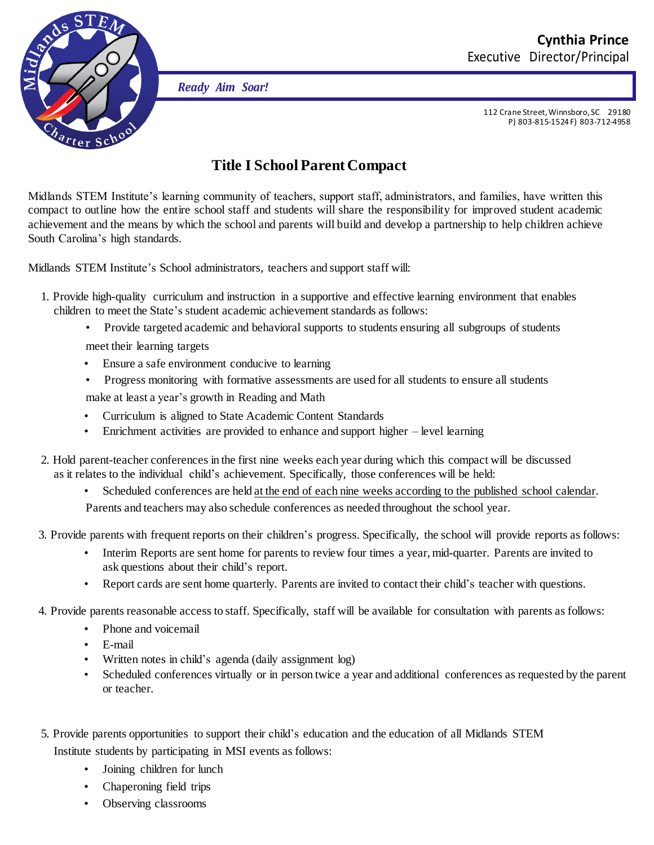

*Ready Aim Soar!*

112 Crane Street,Winnsboro, SC 29180 P) 803-815-1524 F) 803-712-4958

## **Title I SchoolParent Compact**

Midlands STEM Institute's learning community of teachers, support staff, administrators, and families, have written this compact to outline how the entire school staff and students will share the responsibility for improved student academic achievement and the means by which the school and parents will build and develop a partnership to help children achieve South Carolina's high standards.

Midlands STEM Institute's School administrators, teachers and support staff will:

- 1. Provide high-quality curriculum and instruction in a supportive and effective learning environment that enables children to meet the State's student academic achievement standards as follows:
	- Provide targeted academic and behavioral supports to students ensuring all subgroups of students meet their learning targets
	- Ensure a safe environment conducive to learning
	- Progress monitoring with formative assessments are used for all students to ensure all students
	- make at least a year's growth in Reading and Math
	- Curriculum is aligned to State Academic Content Standards
	- Enrichment activities are provided to enhance and support higher level learning
- 2. Hold parent-teacher conferences in the first nine weeks each year during which this compact will be discussed as it relates to the individual child's achievement. Specifically, those conferences will be held:
	- Scheduled conferences are held at the end of each nine weeks according to the published school calendar.
	- Parents and teachers may also schedule conferences as needed throughout the school year.
- 3. Provide parents with frequent reports on their children's progress. Specifically, the school will provide reports as follows:
	- Interim Reports are sent home for parents to review four times a year, mid-quarter. Parents are invited to ask questions about their child's report.
	- Report cards are sent home quarterly. Parents are invited to contact their child's teacher with questions.
- 4. Provide parents reasonable access to staff. Specifically, staff will be available for consultation with parents as follows:
	- Phone and voicemail
	- E-mail
	- Written notes in child's agenda (daily assignment log)
	- Scheduled conferences virtually or in person twice a year and additional conferences as requested by the parent or teacher.
- 5. Provide parents opportunities to support their child's education and the education of all Midlands STEM Institute students by participating in MSI events as follows:
	- Joining children for lunch
	- Chaperoning field trips
	- Observing classrooms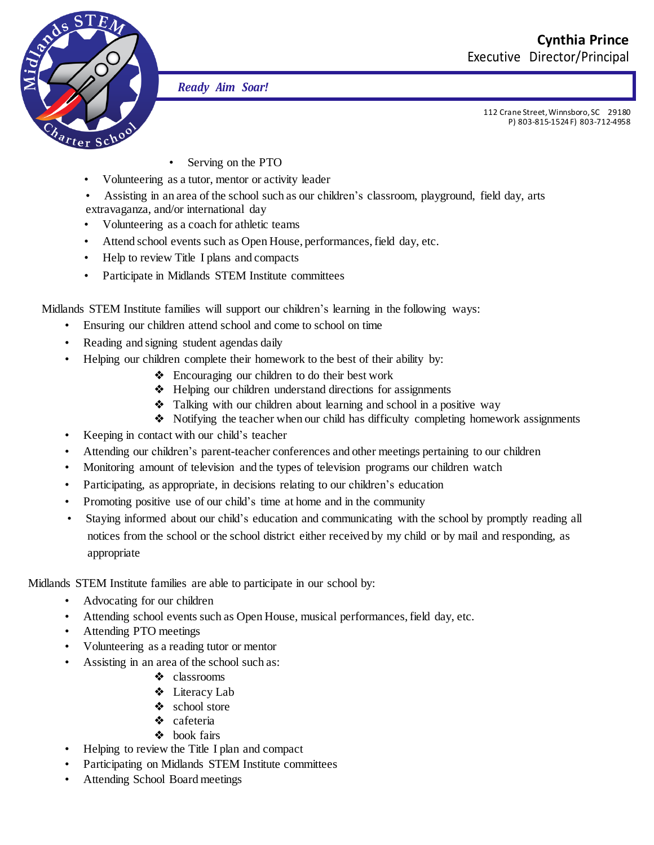

*Ready Aim Soar!*

112 Crane Street,Winnsboro, SC 29180 P) 803-815-1524 F) 803-712-4958

- Serving on the PTO
- Volunteering as a tutor, mentor or activity leader
- Assisting in an area of the school such as our children's classroom, playground, field day, arts
- extravaganza, and/or international day
- Volunteering as a coach for athletic teams
- Attend school events such as Open House, performances, field day, etc.
- Help to review Title I plans and compacts
- Participate in Midlands STEM Institute committees

Midlands STEM Institute families will support our children's learning in the following ways:

- Ensuring our children attend school and come to school on time
- Reading and signing student agendas daily
- Helping our children complete their homework to the best of their ability by:
	- ❖ Encouraging our children to do their best work
	- ❖ Helping our children understand directions for assignments
	- ❖ Talking with our children about learning and school in a positive way
	- ❖ Notifying the teacher when our child has difficulty completing homework assignments
- Keeping in contact with our child's teacher
- Attending our children's parent-teacher conferences and other meetings pertaining to our children
- Monitoring amount of television and the types of television programs our children watch
- Participating, as appropriate, in decisions relating to our children's education
- Promoting positive use of our child's time at home and in the community
- Staying informed about our child's education and communicating with the school by promptly reading all notices from the school or the school district either received by my child or by mail and responding, as appropriate

Midlands STEM Institute families are able to participate in our school by:

- Advocating for our children
- Attending school events such as Open House, musical performances,field day, etc.
- Attending PTO meetings
- Volunteering as a reading tutor or mentor
- Assisting in an area of the school such as:
	- ❖ classrooms
	- ❖ Literacy Lab
	- ❖ school store
	- ❖ cafeteria
	- ❖ book fairs
- Helping to review the Title I plan and compact
- Participating on Midlands STEM Institute committees
- Attending School Board meetings